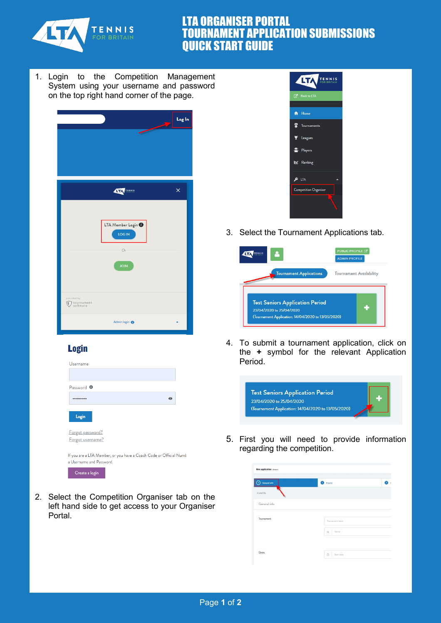

## LTA ORGANISER PORTAL TOURNAMENT APPLICATION SUBMISSIONS QUICK START GUIDE

1. Login to the Competition Management System using your username and password on the top right hand corner of the page.



## **Login**

| Username                                                                                       |         |
|------------------------------------------------------------------------------------------------|---------|
|                                                                                                |         |
| Password <sup>O</sup>                                                                          |         |
|                                                                                                | $\odot$ |
| Login                                                                                          |         |
| Forgot password?                                                                               |         |
| Forgot username?                                                                               |         |
| If you are a LTA Member, or you have a Coach Code or Official Numb<br>a Username and Password. |         |
| Create a login                                                                                 |         |

2. Select the Competition Organiser tab on the left hand side to get access to your Organiser Portal.



3. Select the Tournament Applications tab.

|                                        | <b>PUBLIC PROFILE [7]</b><br><b>ADMIN PROFILE</b> |
|----------------------------------------|---------------------------------------------------|
| <b>Tournament Applications</b>         | <b>Tournament Availability</b>                    |
|                                        |                                                   |
| <b>Test Seniors Application Period</b> |                                                   |

4. To submit a tournament application, click on the **+** symbol for the relevant Application Period.



5. First you will need to provide information regarding the competition.

| General info | <b>B</b> Events   |  |
|--------------|-------------------|--|
| CANCEL       |                   |  |
| General info |                   |  |
| Tournament   | Tournament name   |  |
|              | $\alpha$<br>Venue |  |
|              |                   |  |